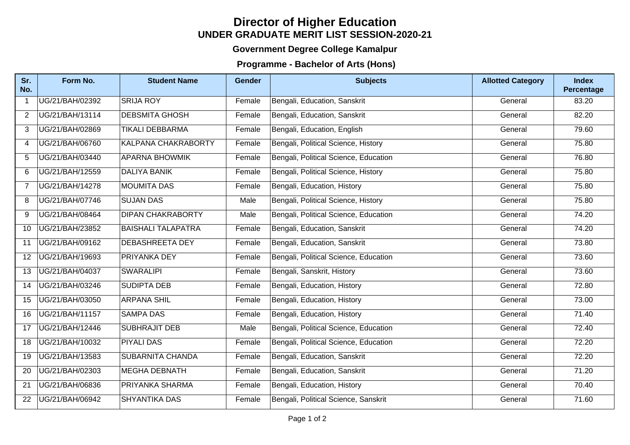## **UNDER GRADUATE MERIT LIST SESSION-2020-21 Director of Higher Education**

## **Government Degree College Kamalpur**

## **Programme - Bachelor of Arts (Hons)**

| Sr.<br>No.     | Form No.        | <b>Student Name</b>        | <b>Gender</b> | <b>Subjects</b>                       | <b>Allotted Category</b> | <b>Index</b><br>Percentage |
|----------------|-----------------|----------------------------|---------------|---------------------------------------|--------------------------|----------------------------|
| $\mathbf{1}$   | UG/21/BAH/02392 | <b>SRIJA ROY</b>           | Female        | Bengali, Education, Sanskrit          | General                  | 83.20                      |
| $\overline{2}$ | UG/21/BAH/13114 | <b>DEBSMITA GHOSH</b>      | Female        | Bengali, Education, Sanskrit          | General                  | 82.20                      |
| 3              | UG/21/BAH/02869 | <b>TIKALI DEBBARMA</b>     | Female        | Bengali, Education, English           | General                  | 79.60                      |
| 4              | UG/21/BAH/06760 | <b>KALPANA CHAKRABORTY</b> | Female        | Bengali, Political Science, History   | General                  | 75.80                      |
| 5              | UG/21/BAH/03440 | <b>APARNA BHOWMIK</b>      | Female        | Bengali, Political Science, Education | General                  | 76.80                      |
| 6              | UG/21/BAH/12559 | <b>DALIYA BANIK</b>        | Female        | Bengali, Political Science, History   | General                  | 75.80                      |
| $\overline{7}$ | UG/21/BAH/14278 | <b>MOUMITA DAS</b>         | Female        | Bengali, Education, History           | General                  | 75.80                      |
| 8              | UG/21/BAH/07746 | <b>SUJAN DAS</b>           | Male          | Bengali, Political Science, History   | General                  | 75.80                      |
| 9              | UG/21/BAH/08464 | <b>DIPAN CHAKRABORTY</b>   | Male          | Bengali, Political Science, Education | General                  | 74.20                      |
| 10             | UG/21/BAH/23852 | <b>BAISHALI TALAPATRA</b>  | Female        | Bengali, Education, Sanskrit          | General                  | 74.20                      |
| 11             | UG/21/BAH/09162 | <b>DEBASHREETA DEY</b>     | Female        | Bengali, Education, Sanskrit          | General                  | 73.80                      |
| 12             | UG/21/BAH/19693 | <b>PRIYANKA DEY</b>        | Female        | Bengali, Political Science, Education | General                  | 73.60                      |
| 13             | UG/21/BAH/04037 | <b>SWARALIPI</b>           | Female        | Bengali, Sanskrit, History            | General                  | 73.60                      |
| 14             | UG/21/BAH/03246 | <b>SUDIPTA DEB</b>         | Female        | Bengali, Education, History           | General                  | $\overline{72.80}$         |
| 15             | UG/21/BAH/03050 | <b>ARPANA SHIL</b>         | Female        | Bengali, Education, History           | General                  | 73.00                      |
| 16             | UG/21/BAH/11157 | <b>SAMPA DAS</b>           | Female        | Bengali, Education, History           | General                  | 71.40                      |
| 17             | UG/21/BAH/12446 | <b>SUBHRAJIT DEB</b>       | Male          | Bengali, Political Science, Education | General                  | 72.40                      |
| 18             | UG/21/BAH/10032 | <b>PIYALI DAS</b>          | Female        | Bengali, Political Science, Education | General                  | 72.20                      |
| 19             | UG/21/BAH/13583 | <b>SUBARNITA CHANDA</b>    | Female        | Bengali, Education, Sanskrit          | General                  | 72.20                      |
| 20             | UG/21/BAH/02303 | <b>MEGHA DEBNATH</b>       | Female        | Bengali, Education, Sanskrit          | General                  | 71.20                      |
| 21             | UG/21/BAH/06836 | <b>PRIYANKA SHARMA</b>     | Female        | Bengali, Education, History           | General                  | 70.40                      |
| 22             | UG/21/BAH/06942 | <b>SHYANTIKA DAS</b>       | Female        | Bengali, Political Science, Sanskrit  | General                  | 71.60                      |